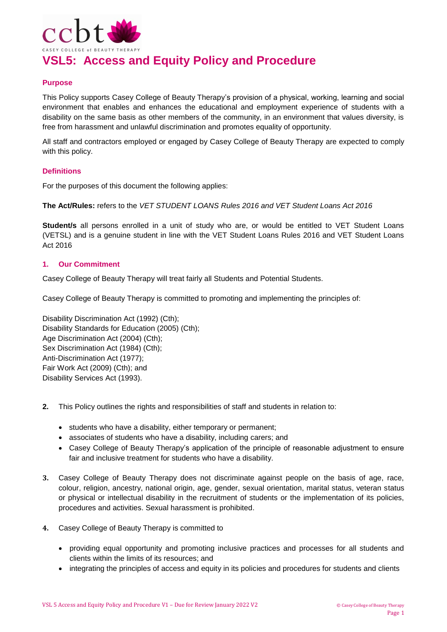

# **VSL5: Access and Equity Policy and Procedure**

### **Purpose**

This Policy supports Casey College of Beauty Therapy's provision of a physical, working, learning and social environment that enables and enhances the educational and employment experience of students with a disability on the same basis as other members of the community, in an environment that values diversity, is free from harassment and unlawful discrimination and promotes equality of opportunity.

All staff and contractors employed or engaged by Casey College of Beauty Therapy are expected to comply with this policy.

#### **Definitions**

For the purposes of this document the following applies:

**The Act/Rules:** refers to the *VET STUDENT LOANS Rules 2016 and VET Student Loans Act 2016*

**Student/s** all persons enrolled in a unit of study who are, or would be entitled to VET Student Loans (VETSL) and is a genuine student in line with the VET Student Loans Rules 2016 and VET Student Loans Act 2016

#### **1. Our Commitment**

Casey College of Beauty Therapy will treat fairly all Students and Potential Students.

Casey College of Beauty Therapy is committed to promoting and implementing the principles of:

Disability Discrimination Act (1992) (Cth); Disability Standards for Education (2005) (Cth); Age Discrimination Act (2004) (Cth); Sex Discrimination Act (1984) (Cth); Anti-Discrimination Act (1977); Fair Work Act (2009) (Cth); and Disability Services Act (1993).

- **2.** This Policy outlines the rights and responsibilities of staff and students in relation to:
	- students who have a disability, either temporary or permanent;
	- associates of students who have a disability, including carers; and
	- Casey College of Beauty Therapy's application of the principle of reasonable adjustment to ensure fair and inclusive treatment for students who have a disability.
- **3.** Casey College of Beauty Therapy does not discriminate against people on the basis of age, race, colour, religion, ancestry, national origin, age, gender, sexual orientation, marital status, veteran status or physical or intellectual disability in the recruitment of students or the implementation of its policies, procedures and activities. Sexual harassment is prohibited.
- **4.** Casey College of Beauty Therapy is committed to
	- providing equal opportunity and promoting inclusive practices and processes for all students and clients within the limits of its resources; and
	- integrating the principles of access and equity in its policies and procedures for students and clients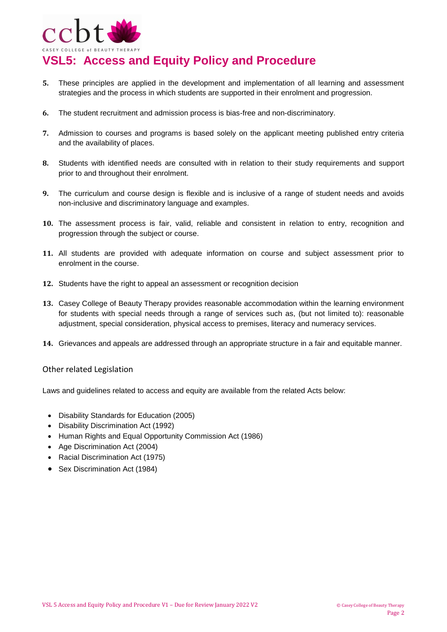

# **VSL5: Access and Equity Policy and Procedure**

- **5.** These principles are applied in the development and implementation of all learning and assessment strategies and the process in which students are supported in their enrolment and progression.
- **6.** The student recruitment and admission process is bias-free and non-discriminatory.
- **7.** Admission to courses and programs is based solely on the applicant meeting published entry criteria and the availability of places.
- **8.** Students with identified needs are consulted with in relation to their study requirements and support prior to and throughout their enrolment.
- **9.** The curriculum and course design is flexible and is inclusive of a range of student needs and avoids non-inclusive and discriminatory language and examples.
- **10.** The assessment process is fair, valid, reliable and consistent in relation to entry, recognition and progression through the subject or course.
- **11.** All students are provided with adequate information on course and subject assessment prior to enrolment in the course.
- **12.** Students have the right to appeal an assessment or recognition decision
- **13.** Casey College of Beauty Therapy provides reasonable accommodation within the learning environment for students with special needs through a range of services such as, (but not limited to): reasonable adjustment, special consideration, physical access to premises, literacy and numeracy services.
- **14.** Grievances and appeals are addressed through an appropriate structure in a fair and equitable manner.

### Other related Legislation

Laws and guidelines related to access and equity are available from the related Acts below:

- Disability Standards for Education (2005)
- Disability Discrimination Act (1992)
- Human Rights and Equal Opportunity Commission Act (1986)
- Age Discrimination Act (2004)
- Racial Discrimination Act (1975)
- Sex Discrimination Act (1984)